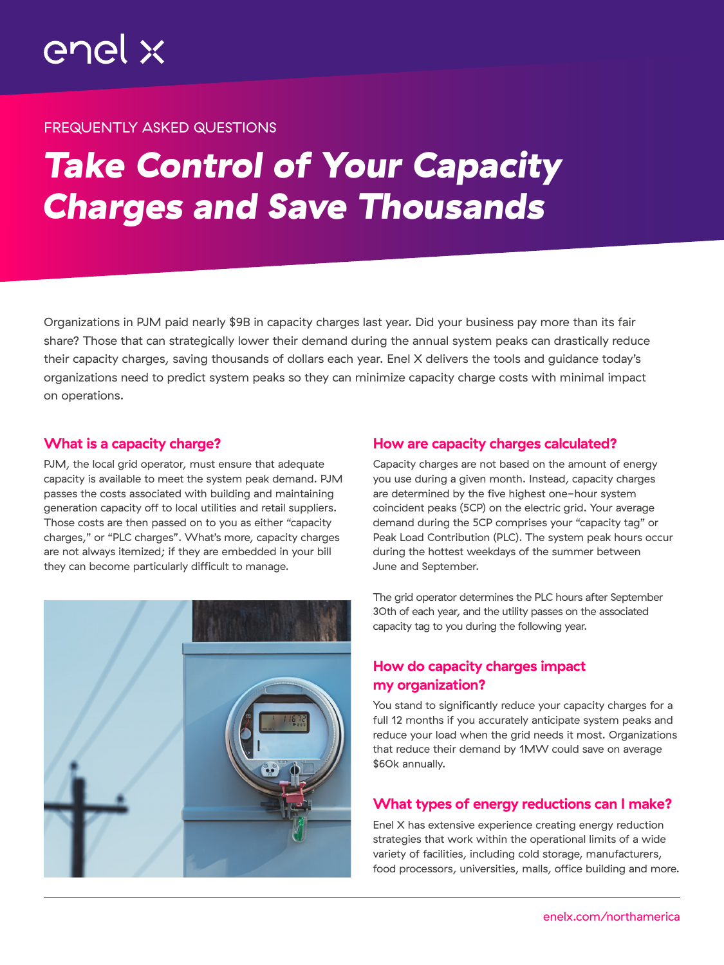## FREQUENTLY ASKED QUESTIONS

# *Take Control of Your Capacity Charges and Save Thousands*

Organizations in PJM paid nearly \$9B in capacity charges last year. Did your business pay more than its fair share? Those that can strategically lower their demand during the annual system peaks can drastically reduce their capacity charges, saving thousands of dollars each year. Enel X delivers the tools and guidance today's organizations need to predict system peaks so they can minimize capacity charge costs with minimal impact on operations.

#### What is a capacity charge?

PJM, the local grid operator, must ensure that adequate capacity is available to meet the system peak demand. PJM passes the costs associated with building and maintaining generation capacity off to local utilities and retail suppliers. Those costs are then passed on to you as either "capacity charges," or "PLC charges". What's more, capacity charges are not always itemized; if they are embedded in your bill they can become particularly difficult to manage.



## How are capacity charges calculated?

Capacity charges are not based on the amount of energy you use during a given month. Instead, capacity charges are determined by the five highest one-hour system coincident peaks (5CP) on the electric grid. Your average demand during the 5CP comprises your "capacity tag" or Peak Load Contribution (PLC). The system peak hours occur during the hottest weekdays of the summer between June and September.

The grid operator determines the PLC hours after September 30th of each year, and the utility passes on the associated capacity tag to you during the following year.

# How do capacity charges impact my organization?

You stand to significantly reduce your capacity charges for a full 12 months if you accurately anticipate system peaks and reduce your load when the grid needs it most. Organizations that reduce their demand by 1MW could save on average \$60k annually.

## What types of energy reductions can I make?

Enel X has extensive experience creating energy reduction strategies that work within the operational limits of a wide variety of facilities, including cold storage, manufacturers, food processors, universities, malls, office building and more.